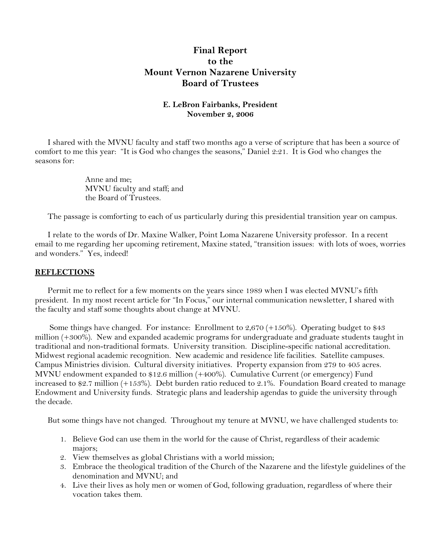# **Final Report to the Mount Vernon Nazarene University Board of Trustees**

## **E. LeBron Fairbanks, President November 2, 2006**

I shared with the MVNU faculty and staff two months ago a verse of scripture that has been a source of comfort to me this year: "It is God who changes the seasons," Daniel 2:21. It is God who changes the seasons for:

> Anne and me; MVNU faculty and staff; and the Board of Trustees.

The passage is comforting to each of us particularly during this presidential transition year on campus.

 I relate to the words of Dr. Maxine Walker, Point Loma Nazarene University professor. In a recent email to me regarding her upcoming retirement, Maxine stated, "transition issues: with lots of woes, worries and wonders." Yes, indeed!

### **REFLECTIONS**

 Permit me to reflect for a few moments on the years since 1989 when I was elected MVNU's fifth president. In my most recent article for "In Focus," our internal communication newsletter, I shared with the faculty and staff some thoughts about change at MVNU.

 Some things have changed. For instance: Enrollment to 2,670 (+150%). Operating budget to \$43 million (+300%). New and expanded academic programs for undergraduate and graduate students taught in traditional and non-traditional formats. University transition. Discipline-specific national accreditation. Midwest regional academic recognition. New academic and residence life facilities. Satellite campuses. Campus Ministries division. Cultural diversity initiatives. Property expansion from 279 to 405 acres. MVNU endowment expanded to \$12.6 million (+400%). Cumulative Current (or emergency) Fund increased to \$2.7 million (+153%). Debt burden ratio reduced to 2.1%. Foundation Board created to manage Endowment and University funds. Strategic plans and leadership agendas to guide the university through the decade.

But some things have not changed. Throughout my tenure at MVNU, we have challenged students to:

- 1. Believe God can use them in the world for the cause of Christ, regardless of their academic majors;
- 2. View themselves as global Christians with a world mission;
- 3. Embrace the theological tradition of the Church of the Nazarene and the lifestyle guidelines of the denomination and MVNU; and
- 4. Live their lives as holy men or women of God, following graduation, regardless of where their vocation takes them.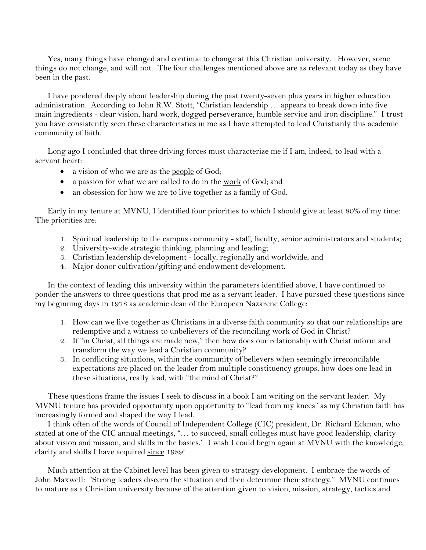Yes, many things have changed and continue to change at this Christian university. However, some things do not change, and will not. The four challenges mentioned above are as relevant today as they have been in the past.

 I have pondered deeply about leadership during the past twenty-seven plus years in higher education administration. According to John R.W. Stott, "Christian leadership … appears to break down into five main ingredients - clear vision, hard work, dogged perseverance, humble service and iron discipline." I trust you have consistently seen these characteristics in me as I have attempted to lead Christianly this academic community of faith.

 Long ago I concluded that three driving forces must characterize me if I am, indeed, to lead with a servant heart:

- a vision of who we are as the <u>people</u> of God;
- a passion for what we are called to do in the work of God; and
- an obsession for how we are to live together as a family of God.

 Early in my tenure at MVNU, I identified four priorities to which I should give at least 80% of my time: The priorities are:

- 1. Spiritual leadership to the campus community staff, faculty, senior administrators and students;
- 2. University-wide strategic thinking, planning and leading;
- 3. Christian leadership development locally, regionally and worldwide; and
- 4. Major donor cultivation/gifting and endowment development.

 In the context of leading this university within the parameters identified above, I have continued to ponder the answers to three questions that prod me as a servant leader. I have pursued these questions since my beginning days in 1978 as academic dean of the European Nazarene College:

- 1. How can we live together as Christians in a diverse faith community so that our relationships are redemptive and a witness to unbelievers of the reconciling work of God in Christ?
- 2. If "in Christ, all things are made new," then how does our relationship with Christ inform and transform the way we lead a Christian community?
- 3. In conflicting situations, within the community of believers when seemingly irreconcilable expectations are placed on the leader from multiple constituency groups, how does one lead in these situations, really lead, with "the mind of Christ?"

 These questions frame the issues I seek to discuss in a book I am writing on the servant leader. My MVNU tenure has provided opportunity upon opportunity to "lead from my knees" as my Christian faith has increasingly formed and shaped the way I lead.

 I think often of the words of Council of Independent College (CIC) president, Dr. Richard Eckman, who stated at one of the CIC annual meetings, "… to succeed, small colleges must have good leadership, clarity about vision and mission, and skills in the basics." I wish I could begin again at MVNU with the knowledge, clarity and skills I have acquired since 1989!

 Much attention at the Cabinet level has been given to strategy development. I embrace the words of John Maxwell: "Strong leaders discern the situation and then determine their strategy." MVNU continues to mature as a Christian university because of the attention given to vision, mission, strategy, tactics and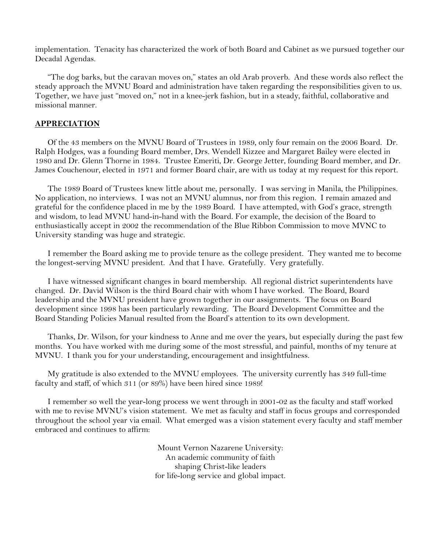implementation. Tenacity has characterized the work of both Board and Cabinet as we pursued together our Decadal Agendas.

 "The dog barks, but the caravan moves on," states an old Arab proverb. And these words also reflect the steady approach the MVNU Board and administration have taken regarding the responsibilities given to us. Together, we have just "moved on," not in a knee-jerk fashion, but in a steady, faithful, collaborative and missional manner.

### **APPRECIATION**

 Of the 43 members on the MVNU Board of Trustees in 1989, only four remain on the 2006 Board. Dr. Ralph Hodges, was a founding Board member, Drs. Wendell Kizzee and Margaret Bailey were elected in 1980 and Dr. Glenn Thorne in 1984. Trustee Emeriti, Dr. George Jetter, founding Board member, and Dr. James Couchenour, elected in 1971 and former Board chair, are with us today at my request for this report.

 The 1989 Board of Trustees knew little about me, personally. I was serving in Manila, the Philippines. No application, no interviews. I was not an MVNU alumnus, nor from this region. I remain amazed and grateful for the confidence placed in me by the 1989 Board. I have attempted, with God's grace, strength and wisdom, to lead MVNU hand-in-hand with the Board. For example, the decision of the Board to enthusiastically accept in 2002 the recommendation of the Blue Ribbon Commission to move MVNC to University standing was huge and strategic.

 I remember the Board asking me to provide tenure as the college president. They wanted me to become the longest-serving MVNU president. And that I have. Gratefully. Very gratefully.

 I have witnessed significant changes in board membership. All regional district superintendents have changed. Dr. David Wilson is the third Board chair with whom I have worked. The Board, Board leadership and the MVNU president have grown together in our assignments. The focus on Board development since 1998 has been particularly rewarding. The Board Development Committee and the Board Standing Policies Manual resulted from the Board's attention to its own development.

 Thanks, Dr. Wilson, for your kindness to Anne and me over the years, but especially during the past few months. You have worked with me during some of the most stressful, and painful, months of my tenure at MVNU. I thank you for your understanding, encouragement and insightfulness.

 My gratitude is also extended to the MVNU employees. The university currently has 349 full-time faculty and staff, of which 311 (or 89%) have been hired since 1989!

 I remember so well the year-long process we went through in 2001-02 as the faculty and staff worked with me to revise MVNU's vision statement. We met as faculty and staff in focus groups and corresponded throughout the school year via email. What emerged was a vision statement every faculty and staff member embraced and continues to affirm:

> Mount Vernon Nazarene University: An academic community of faith shaping Christ-like leaders for life-long service and global impact.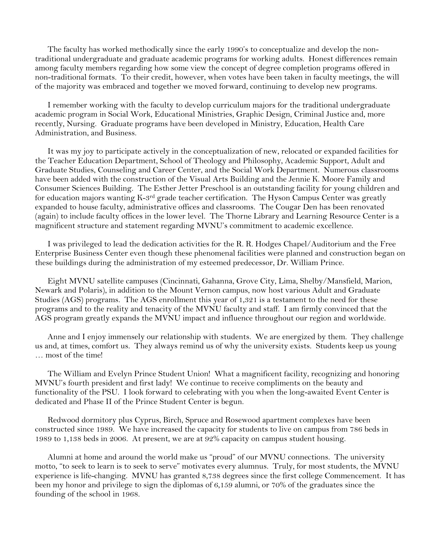The faculty has worked methodically since the early 1990's to conceptualize and develop the nontraditional undergraduate and graduate academic programs for working adults. Honest differences remain among faculty members regarding how some view the concept of degree completion programs offered in non-traditional formats. To their credit, however, when votes have been taken in faculty meetings, the will of the majority was embraced and together we moved forward, continuing to develop new programs.

 I remember working with the faculty to develop curriculum majors for the traditional undergraduate academic program in Social Work, Educational Ministries, Graphic Design, Criminal Justice and, more recently, Nursing. Graduate programs have been developed in Ministry, Education, Health Care Administration, and Business.

 It was my joy to participate actively in the conceptualization of new, relocated or expanded facilities for the Teacher Education Department, School of Theology and Philosophy, Academic Support, Adult and Graduate Studies, Counseling and Career Center, and the Social Work Department. Numerous classrooms have been added with the construction of the Visual Arts Building and the Jennie K. Moore Family and Consumer Sciences Building. The Esther Jetter Preschool is an outstanding facility for young children and for education majors wanting K-3rd grade teacher certification. The Hyson Campus Center was greatly expanded to house faculty, administrative offices and classrooms. The Cougar Den has been renovated (again) to include faculty offices in the lower level. The Thorne Library and Learning Resource Center is a magnificent structure and statement regarding MVNU's commitment to academic excellence.

 I was privileged to lead the dedication activities for the R. R. Hodges Chapel/Auditorium and the Free Enterprise Business Center even though these phenomenal facilities were planned and construction began on these buildings during the administration of my esteemed predecessor, Dr. William Prince.

 Eight MVNU satellite campuses (Cincinnati, Gahanna, Grove City, Lima, Shelby/Mansfield, Marion, Newark and Polaris), in addition to the Mount Vernon campus, now host various Adult and Graduate Studies (AGS) programs. The AGS enrollment this year of 1,321 is a testament to the need for these programs and to the reality and tenacity of the MVNU faculty and staff. I am firmly convinced that the AGS program greatly expands the MVNU impact and influence throughout our region and worldwide.

 Anne and I enjoy immensely our relationship with students. We are energized by them. They challenge us and, at times, comfort us. They always remind us of why the university exists. Students keep us young … most of the time!

 The William and Evelyn Prince Student Union! What a magnificent facility, recognizing and honoring MVNU's fourth president and first lady! We continue to receive compliments on the beauty and functionality of the PSU. I look forward to celebrating with you when the long-awaited Event Center is dedicated and Phase II of the Prince Student Center is begun.

 Redwood dormitory plus Cyprus, Birch, Spruce and Rosewood apartment complexes have been constructed since 1989. We have increased the capacity for students to live on campus from 786 beds in 1989 to 1,138 beds in 2006. At present, we are at 92% capacity on campus student housing.

 Alumni at home and around the world make us "proud" of our MVNU connections. The university motto, "to seek to learn is to seek to serve" motivates every alumnus. Truly, for most students, the MVNU experience is life-changing. MVNU has granted 8,738 degrees since the first college Commencement. It has been my honor and privilege to sign the diplomas of 6,159 alumni, or 70% of the graduates since the founding of the school in 1968.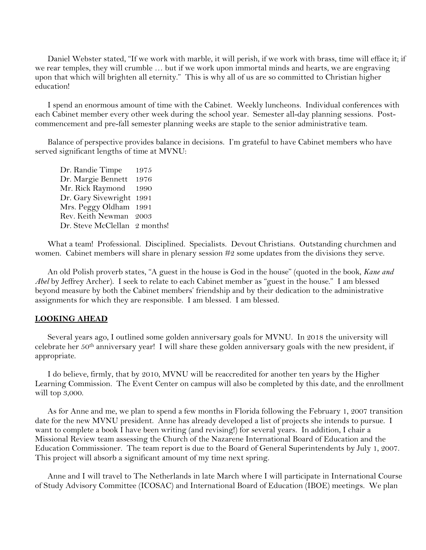Daniel Webster stated, "If we work with marble, it will perish, if we work with brass, time will efface it; if we rear temples, they will crumble … but if we work upon immortal minds and hearts, we are engraving upon that which will brighten all eternity." This is why all of us are so committed to Christian higher education!

 I spend an enormous amount of time with the Cabinet. Weekly luncheons. Individual conferences with each Cabinet member every other week during the school year. Semester all-day planning sessions. Postcommencement and pre-fall semester planning weeks are staple to the senior administrative team.

 Balance of perspective provides balance in decisions. I'm grateful to have Cabinet members who have served significant lengths of time at MVNU:

 Dr. Randie Timpe 1975 Dr. Margie Bennett 1976 Mr. Rick Raymond 1990 Dr. Gary Sivewright 1991 Mrs. Peggy Oldham 1991 Rev. Keith Newman 2003 Dr. Steve McClellan 2 months!

 What a team! Professional. Disciplined. Specialists. Devout Christians. Outstanding churchmen and women. Cabinet members will share in plenary session #2 some updates from the divisions they serve.

 An old Polish proverb states, "A guest in the house is God in the house" (quoted in the book, *Kane and Abel* by Jeffrey Archer). I seek to relate to each Cabinet member as "guest in the house." I am blessed beyond measure by both the Cabinet members' friendship and by their dedication to the administrative assignments for which they are responsible. I am blessed. I am blessed.

#### **LOOKING AHEAD**

 Several years ago, I outlined some golden anniversary goals for MVNU. In 2018 the university will celebrate her 50th anniversary year! I will share these golden anniversary goals with the new president, if appropriate.

 I do believe, firmly, that by 2010, MVNU will be reaccredited for another ten years by the Higher Learning Commission. The Event Center on campus will also be completed by this date, and the enrollment will top 3,000.

 As for Anne and me, we plan to spend a few months in Florida following the February 1, 2007 transition date for the new MVNU president. Anne has already developed a list of projects she intends to pursue. I want to complete a book I have been writing (and revising!) for several years. In addition, I chair a Missional Review team assessing the Church of the Nazarene International Board of Education and the Education Commissioner. The team report is due to the Board of General Superintendents by July 1, 2007. This project will absorb a significant amount of my time next spring.

 Anne and I will travel to The Netherlands in late March where I will participate in International Course of Study Advisory Committee (ICOSAC) and International Board of Education (IBOE) meetings. We plan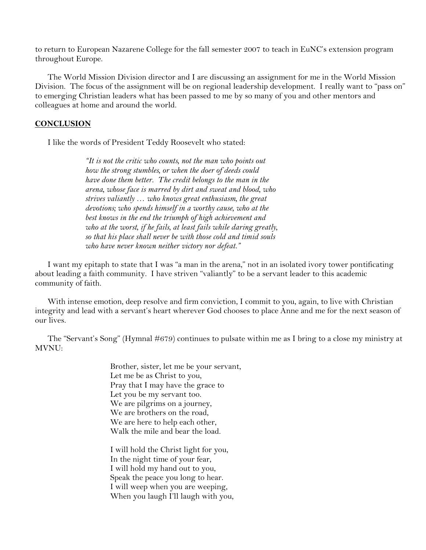to return to European Nazarene College for the fall semester 2007 to teach in EuNC's extension program throughout Europe.

 The World Mission Division director and I are discussing an assignment for me in the World Mission Division. The focus of the assignment will be on regional leadership development. I really want to "pass on" to emerging Christian leaders what has been passed to me by so many of you and other mentors and colleagues at home and around the world.

## **CONCLUSION**

I like the words of President Teddy Roosevelt who stated:

*"It is not the critic who counts, not the man who points out how the strong stumbles, or when the doer of deeds could have done them better. The credit belongs to the man in the arena, whose face is marred by dirt and sweat and blood, who strives valiantly … who knows great enthusiasm, the great devotions; who spends himself in a worthy cause, who at the best knows in the end the triumph of high achievement and who at the worst, if he fails, at least fails while daring greatly, so that his place shall never be with those cold and timid souls who have never known neither victory nor defeat."* 

 I want my epitaph to state that I was "a man in the arena," not in an isolated ivory tower pontificating about leading a faith community. I have striven "valiantly" to be a servant leader to this academic community of faith.

With intense emotion, deep resolve and firm conviction, I commit to you, again, to live with Christian integrity and lead with a servant's heart wherever God chooses to place Anne and me for the next season of our lives.

 The "Servant's Song" (Hymnal #679) continues to pulsate within me as I bring to a close my ministry at MVNU:

> Brother, sister, let me be your servant, Let me be as Christ to you, Pray that I may have the grace to Let you be my servant too. We are pilgrims on a journey, We are brothers on the road, We are here to help each other, Walk the mile and bear the load.

I will hold the Christ light for you, In the night time of your fear, I will hold my hand out to you, Speak the peace you long to hear. I will weep when you are weeping, When you laugh I'll laugh with you,